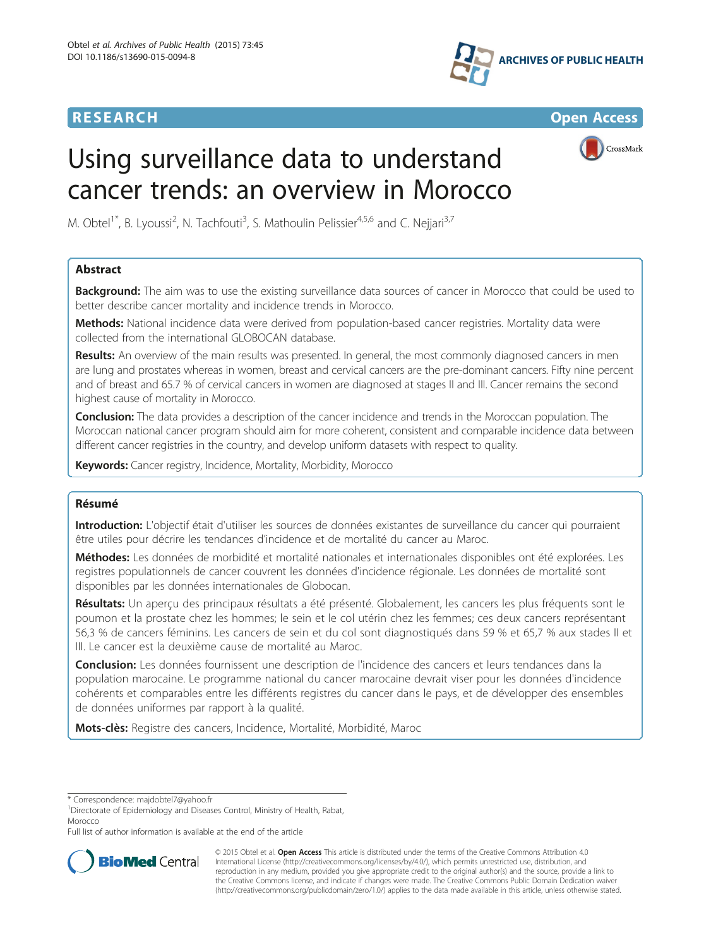



CrossMark

# Using surveillance data to understand cancer trends: an overview in Morocco

M. Obtel<sup>1\*</sup>, B. Lyoussi<sup>2</sup>, N. Tachfouti<sup>3</sup>, S. Mathoulin Pelissier<sup>4,5,6</sup> and C. Nejjari<sup>3,7</sup>

# Abstract

**Background:** The aim was to use the existing surveillance data sources of cancer in Morocco that could be used to better describe cancer mortality and incidence trends in Morocco.

Methods: National incidence data were derived from population-based cancer registries. Mortality data were collected from the international GLOBOCAN database.

Results: An overview of the main results was presented. In general, the most commonly diagnosed cancers in men are lung and prostates whereas in women, breast and cervical cancers are the pre-dominant cancers. Fifty nine percent and of breast and 65.7 % of cervical cancers in women are diagnosed at stages II and III. Cancer remains the second highest cause of mortality in Morocco.

**Conclusion:** The data provides a description of the cancer incidence and trends in the Moroccan population. The Moroccan national cancer program should aim for more coherent, consistent and comparable incidence data between different cancer registries in the country, and develop uniform datasets with respect to quality.

Keywords: Cancer registry, Incidence, Mortality, Morbidity, Morocco

# Résumé

Introduction: L'objectif était d'utiliser les sources de données existantes de surveillance du cancer qui pourraient être utiles pour décrire les tendances d'incidence et de mortalité du cancer au Maroc.

Méthodes: Les données de morbidité et mortalité nationales et internationales disponibles ont été explorées. Les registres populationnels de cancer couvrent les données d'incidence régionale. Les données de mortalité sont disponibles par les données internationales de Globocan.

Résultats: Un aperçu des principaux résultats a été présenté. Globalement, les cancers les plus fréquents sont le poumon et la prostate chez les hommes; le sein et le col utérin chez les femmes; ces deux cancers représentant 56,3 % de cancers féminins. Les cancers de sein et du col sont diagnostiqués dans 59 % et 65,7 % aux stades II et III. Le cancer est la deuxième cause de mortalité au Maroc.

Conclusion: Les données fournissent une description de l'incidence des cancers et leurs tendances dans la population marocaine. Le programme national du cancer marocaine devrait viser pour les données d'incidence cohérents et comparables entre les différents registres du cancer dans le pays, et de développer des ensembles de données uniformes par rapport à la qualité.

**Mots-clès:** Registre des cancers, Incidence, Mortalité, Morbidité, Maroc

<sup>1</sup>Directorate of Epidemiology and Diseases Control, Ministry of Health, Rabat, Morocco

Full list of author information is available at the end of the article



© 2015 Obtel et al. Open Access This article is distributed under the terms of the Creative Commons Attribution 4.0 International License [\(http://creativecommons.org/licenses/by/4.0/](http://creativecommons.org/licenses/by/4.0/)), which permits unrestricted use, distribution, and reproduction in any medium, provided you give appropriate credit to the original author(s) and the source, provide a link to the Creative Commons license, and indicate if changes were made. The Creative Commons Public Domain Dedication waiver [\(http://creativecommons.org/publicdomain/zero/1.0/](http://creativecommons.org/publicdomain/zero/1.0/)) applies to the data made available in this article, unless otherwise stated.

<sup>\*</sup> Correspondence: [majdobtel7@yahoo.fr](mailto:majdobtel7@yahoo.fr) <sup>1</sup>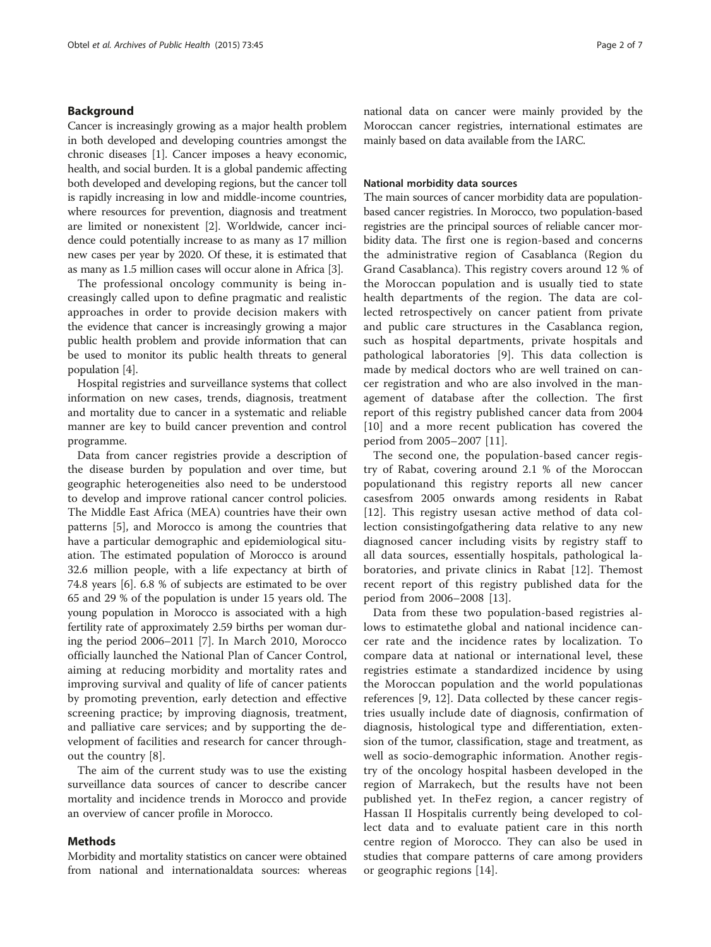# Background

Cancer is increasingly growing as a major health problem in both developed and developing countries amongst the chronic diseases [\[1](#page-6-0)]. Cancer imposes a heavy economic, health, and social burden. It is a global pandemic affecting both developed and developing regions, but the cancer toll is rapidly increasing in low and middle-income countries, where resources for prevention, diagnosis and treatment are limited or nonexistent [[2\]](#page-6-0). Worldwide, cancer incidence could potentially increase to as many as 17 million new cases per year by 2020. Of these, it is estimated that as many as 1.5 million cases will occur alone in Africa [[3\]](#page-6-0).

The professional oncology community is being increasingly called upon to define pragmatic and realistic approaches in order to provide decision makers with the evidence that cancer is increasingly growing a major public health problem and provide information that can be used to monitor its public health threats to general population [[4](#page-6-0)].

Hospital registries and surveillance systems that collect information on new cases, trends, diagnosis, treatment and mortality due to cancer in a systematic and reliable manner are key to build cancer prevention and control programme.

Data from cancer registries provide a description of the disease burden by population and over time, but geographic heterogeneities also need to be understood to develop and improve rational cancer control policies. The Middle East Africa (MEA) countries have their own patterns [\[5](#page-6-0)], and Morocco is among the countries that have a particular demographic and epidemiological situation. The estimated population of Morocco is around 32.6 million people, with a life expectancy at birth of 74.8 years [[6\]](#page-6-0). 6.8 % of subjects are estimated to be over 65 and 29 % of the population is under 15 years old. The young population in Morocco is associated with a high fertility rate of approximately 2.59 births per woman during the period 2006–2011 [\[7](#page-6-0)]. In March 2010, Morocco officially launched the National Plan of Cancer Control, aiming at reducing morbidity and mortality rates and improving survival and quality of life of cancer patients by promoting prevention, early detection and effective screening practice; by improving diagnosis, treatment, and palliative care services; and by supporting the development of facilities and research for cancer throughout the country [[8](#page-6-0)].

The aim of the current study was to use the existing surveillance data sources of cancer to describe cancer mortality and incidence trends in Morocco and provide an overview of cancer profile in Morocco.

# Methods

Morbidity and mortality statistics on cancer were obtained from national and internationaldata sources: whereas national data on cancer were mainly provided by the Moroccan cancer registries, international estimates are mainly based on data available from the IARC.

# National morbidity data sources

The main sources of cancer morbidity data are populationbased cancer registries. In Morocco, two population-based registries are the principal sources of reliable cancer morbidity data. The first one is region-based and concerns the administrative region of Casablanca (Region du Grand Casablanca). This registry covers around 12 % of the Moroccan population and is usually tied to state health departments of the region. The data are collected retrospectively on cancer patient from private and public care structures in the Casablanca region, such as hospital departments, private hospitals and pathological laboratories [[9](#page-6-0)]. This data collection is made by medical doctors who are well trained on cancer registration and who are also involved in the management of database after the collection. The first report of this registry published cancer data from 2004 [[10\]](#page-6-0) and a more recent publication has covered the period from 2005–2007 [[11\]](#page-6-0).

The second one, the population-based cancer registry of Rabat, covering around 2.1 % of the Moroccan populationand this registry reports all new cancer casesfrom 2005 onwards among residents in Rabat [[12](#page-6-0)]. This registry usesan active method of data collection consistingofgathering data relative to any new diagnosed cancer including visits by registry staff to all data sources, essentially hospitals, pathological laboratories, and private clinics in Rabat [[12\]](#page-6-0). Themost recent report of this registry published data for the period from 2006–2008 [[13\]](#page-6-0).

Data from these two population-based registries allows to estimatethe global and national incidence cancer rate and the incidence rates by localization. To compare data at national or international level, these registries estimate a standardized incidence by using the Moroccan population and the world populationas references [[9, 12](#page-6-0)]. Data collected by these cancer registries usually include date of diagnosis, confirmation of diagnosis, histological type and differentiation, extension of the tumor, classification, stage and treatment, as well as socio-demographic information. Another registry of the oncology hospital hasbeen developed in the region of Marrakech, but the results have not been published yet. In theFez region, a cancer registry of Hassan II Hospitalis currently being developed to collect data and to evaluate patient care in this north centre region of Morocco. They can also be used in studies that compare patterns of care among providers or geographic regions [\[14](#page-6-0)].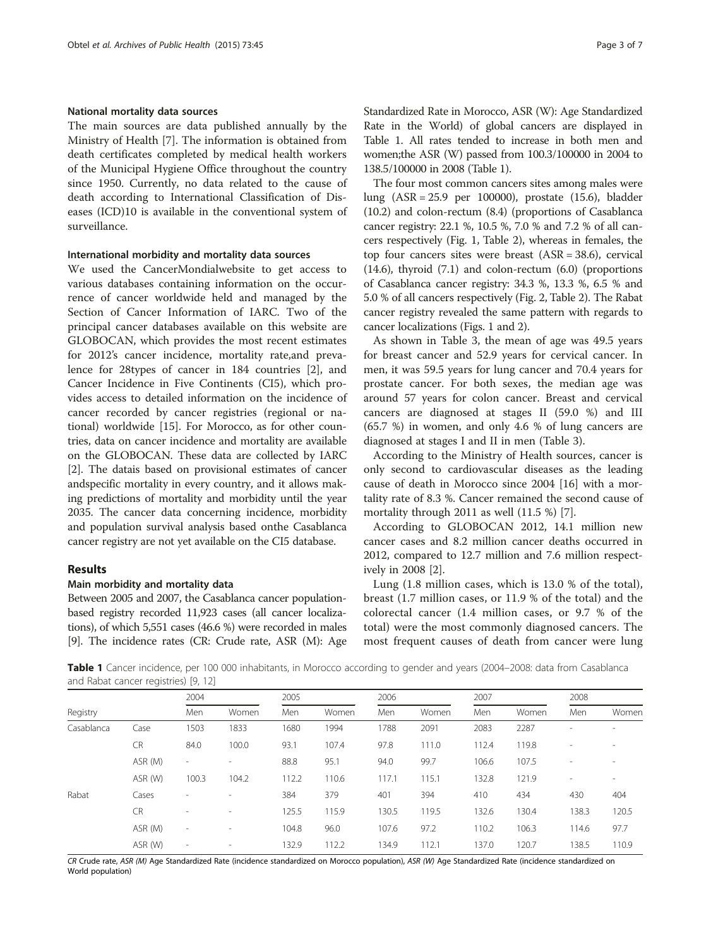# National mortality data sources

The main sources are data published annually by the Ministry of Health [[7\]](#page-6-0). The information is obtained from death certificates completed by medical health workers of the Municipal Hygiene Office throughout the country since 1950. Currently, no data related to the cause of death according to International Classification of Diseases (ICD)10 is available in the conventional system of surveillance.

# International morbidity and mortality data sources

We used the CancerMondialwebsite to get access to various databases containing information on the occurrence of cancer worldwide held and managed by the Section of Cancer Information of IARC. Two of the principal cancer databases available on this website are GLOBOCAN, which provides the most recent estimates for 2012's cancer incidence, mortality rate,and prevalence for 28types of cancer in 184 countries [\[2](#page-6-0)], and Cancer Incidence in Five Continents (CI5), which provides access to detailed information on the incidence of cancer recorded by cancer registries (regional or national) worldwide [[15](#page-6-0)]. For Morocco, as for other countries, data on cancer incidence and mortality are available on the GLOBOCAN. These data are collected by IARC [[2\]](#page-6-0). The datais based on provisional estimates of cancer andspecific mortality in every country, and it allows making predictions of mortality and morbidity until the year 2035. The cancer data concerning incidence, morbidity and population survival analysis based onthe Casablanca cancer registry are not yet available on the CI5 database.

# Results

# Main morbidity and mortality data

Between 2005 and 2007, the Casablanca cancer populationbased registry recorded 11,923 cases (all cancer localizations), of which 5,551 cases (46.6 %) were recorded in males [[9](#page-6-0)]. The incidence rates (CR: Crude rate, ASR (M): Age Standardized Rate in Morocco, ASR (W): Age Standardized Rate in the World) of global cancers are displayed in Table 1. All rates tended to increase in both men and women;the ASR (W) passed from 100.3/100000 in 2004 to 138.5/100000 in 2008 (Table 1).

The four most common cancers sites among males were lung (ASR = 25.9 per 100000), prostate (15.6), bladder (10.2) and colon-rectum (8.4) (proportions of Casablanca cancer registry: 22.1 %, 10.5 %, 7.0 % and 7.2 % of all cancers respectively (Fig. [1,](#page-3-0) Table [2\)](#page-3-0), whereas in females, the top four cancers sites were breast (ASR = 38.6), cervical (14.6), thyroid (7.1) and colon-rectum (6.0) (proportions of Casablanca cancer registry: 34.3 %, 13.3 %, 6.5 % and 5.0 % of all cancers respectively (Fig. [2](#page-4-0), Table [2\)](#page-3-0). The Rabat cancer registry revealed the same pattern with regards to cancer localizations (Figs. [1](#page-3-0) and [2\)](#page-4-0).

As shown in Table [3](#page-4-0), the mean of age was 49.5 years for breast cancer and 52.9 years for cervical cancer. In men, it was 59.5 years for lung cancer and 70.4 years for prostate cancer. For both sexes, the median age was around 57 years for colon cancer. Breast and cervical cancers are diagnosed at stages II (59.0 %) and III (65.7 %) in women, and only 4.6 % of lung cancers are diagnosed at stages I and II in men (Table [3\)](#page-4-0).

According to the Ministry of Health sources, cancer is only second to cardiovascular diseases as the leading cause of death in Morocco since 2004 [[16\]](#page-6-0) with a mortality rate of 8.3 %. Cancer remained the second cause of mortality through 2011 as well (11.5 %) [[7\]](#page-6-0).

According to GLOBOCAN 2012, 14.1 million new cancer cases and 8.2 million cancer deaths occurred in 2012, compared to 12.7 million and 7.6 million respectively in 2008 [[2\]](#page-6-0).

Lung (1.8 million cases, which is 13.0 % of the total), breast (1.7 million cases, or 11.9 % of the total) and the colorectal cancer (1.4 million cases, or 9.7 % of the total) were the most commonly diagnosed cancers. The most frequent causes of death from cancer were lung

Table 1 Cancer incidence, per 100 000 inhabitants, in Morocco according to gender and years (2004–2008: data from Casablanca and Rabat cancer registries) [\[9, 12](#page-6-0)]

|            |           | 2004                     |                          | 2005  |       | 2006  |       | 2007  |       | 2008                     |        |
|------------|-----------|--------------------------|--------------------------|-------|-------|-------|-------|-------|-------|--------------------------|--------|
| Registry   |           | Men                      | Women                    | Men   | Women | Men   | Women | Men   | Women | Men                      | Women  |
| Casablanca | Case      | 1503                     | 1833                     | 1680  | 1994  | 1788  | 2091  | 2083  | 2287  | $\overline{\phantom{a}}$ |        |
|            | CR        | 84.0                     | 100.0                    | 93.1  | 107.4 | 97.8  | 111.0 | 112.4 | 119.8 | ٠                        | $\sim$ |
|            | ASR (M)   | $\sim$                   |                          | 88.8  | 95.1  | 94.0  | 99.7  | 106.6 | 107.5 | ٠                        |        |
|            | ASR (W)   | 100.3                    | 104.2                    | 112.2 | 110.6 | 117.1 | 115.1 | 132.8 | 121.9 | $\overline{a}$           |        |
| Rabat      | Cases     | ٠                        | $\sim$                   | 384   | 379   | 401   | 394   | 410   | 434   | 430                      | 404    |
|            | <b>CR</b> | -                        | $\overline{\phantom{a}}$ | 125.5 | 115.9 | 130.5 | 119.5 | 132.6 | 130.4 | 138.3                    | 120.5  |
|            | ASR (M)   | $\overline{\phantom{a}}$ | $\overline{\phantom{a}}$ | 104.8 | 96.0  | 107.6 | 97.2  | 110.2 | 106.3 | 114.6                    | 97.7   |
|            | ASR (W)   | $\overline{\phantom{a}}$ | $\overline{\phantom{a}}$ | 132.9 | 112.2 | 34.9  | 112.1 | 137.0 | 120.7 | 138.5                    | 110.9  |

CR Crude rate, ASR (M) Age Standardized Rate (incidence standardized on Morocco population), ASR (W) Age Standardized Rate (incidence standardized on World population)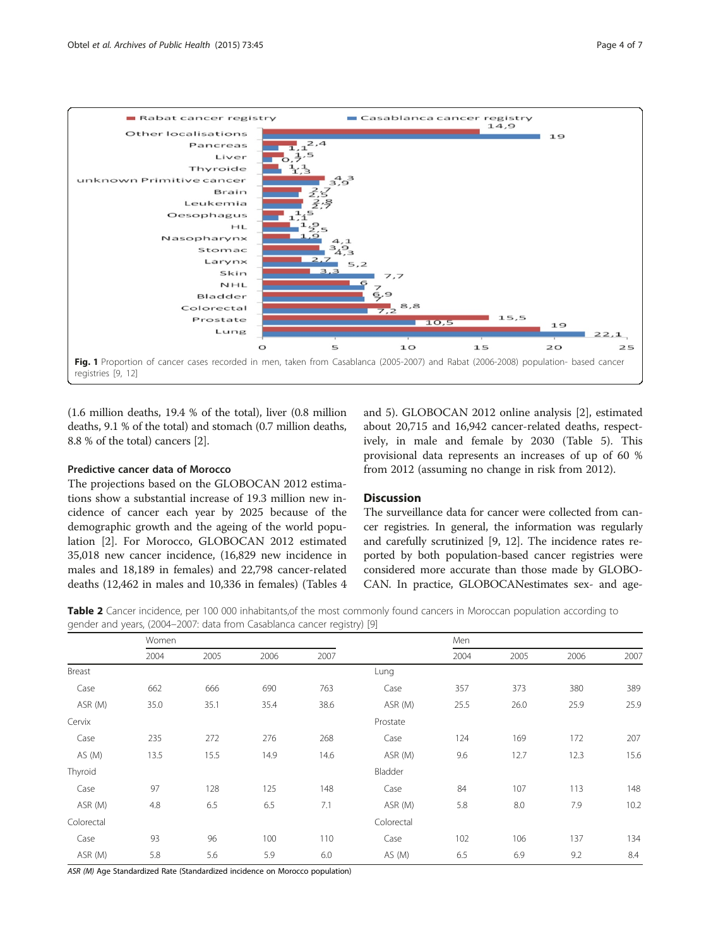<span id="page-3-0"></span>

(1.6 million deaths, 19.4 % of the total), liver (0.8 million deaths, 9.1 % of the total) and stomach (0.7 million deaths, 8.8 % of the total) cancers [\[2](#page-6-0)].

# Predictive cancer data of Morocco

The projections based on the GLOBOCAN 2012 estimations show a substantial increase of 19.3 million new incidence of cancer each year by 2025 because of the demographic growth and the ageing of the world population [\[2\]](#page-6-0). For Morocco, GLOBOCAN 2012 estimated 35,018 new cancer incidence, (16,829 new incidence in males and 18,189 in females) and 22,798 cancer-related deaths (12,462 in males and 10,336 in females) (Tables [4](#page-4-0)

and [5](#page-5-0)). GLOBOCAN 2012 online analysis [[2\]](#page-6-0), estimated about 20,715 and 16,942 cancer-related deaths, respectively, in male and female by 2030 (Table [5](#page-5-0)). This provisional data represents an increases of up of 60 % from 2012 (assuming no change in risk from 2012).

# **Discussion**

The surveillance data for cancer were collected from cancer registries. In general, the information was regularly and carefully scrutinized [\[9](#page-6-0), [12\]](#page-6-0). The incidence rates reported by both population-based cancer registries were considered more accurate than those made by GLOBO-CAN. In practice, GLOBOCANestimates sex- and age-

Table 2 Cancer incidence, per 100 000 inhabitants, of the most commonly found cancers in Moroccan population according to gender and years, (2004–2007: data from Casablanca cancer registry) [\[9](#page-6-0)]

|            | Women |      |      |      |            | Men  |      |      |      |
|------------|-------|------|------|------|------------|------|------|------|------|
|            | 2004  | 2005 | 2006 | 2007 |            | 2004 | 2005 | 2006 | 2007 |
| Breast     |       |      |      |      | Lung       |      |      |      |      |
| Case       | 662   | 666  | 690  | 763  | Case       | 357  | 373  | 380  | 389  |
| ASR (M)    | 35.0  | 35.1 | 35.4 | 38.6 | ASR (M)    | 25.5 | 26.0 | 25.9 | 25.9 |
| Cervix     |       |      |      |      | Prostate   |      |      |      |      |
| Case       | 235   | 272  | 276  | 268  | Case       | 124  | 169  | 172  | 207  |
| AS (M)     | 13.5  | 15.5 | 14.9 | 14.6 | ASR (M)    | 9.6  | 12.7 | 12.3 | 15.6 |
| Thyroid    |       |      |      |      | Bladder    |      |      |      |      |
| Case       | 97    | 128  | 125  | 148  | Case       | 84   | 107  | 113  | 148  |
| ASR (M)    | 4.8   | 6.5  | 6.5  | 7.1  | ASR (M)    | 5.8  | 8.0  | 7.9  | 10.2 |
| Colorectal |       |      |      |      | Colorectal |      |      |      |      |
| Case       | 93    | 96   | 100  | 110  | Case       | 102  | 106  | 137  | 134  |
| ASR (M)    | 5.8   | 5.6  | 5.9  | 6.0  | AS(M)      | 6.5  | 6.9  | 9.2  | 8.4  |

ASR (M) Age Standardized Rate (Standardized incidence on Morocco population)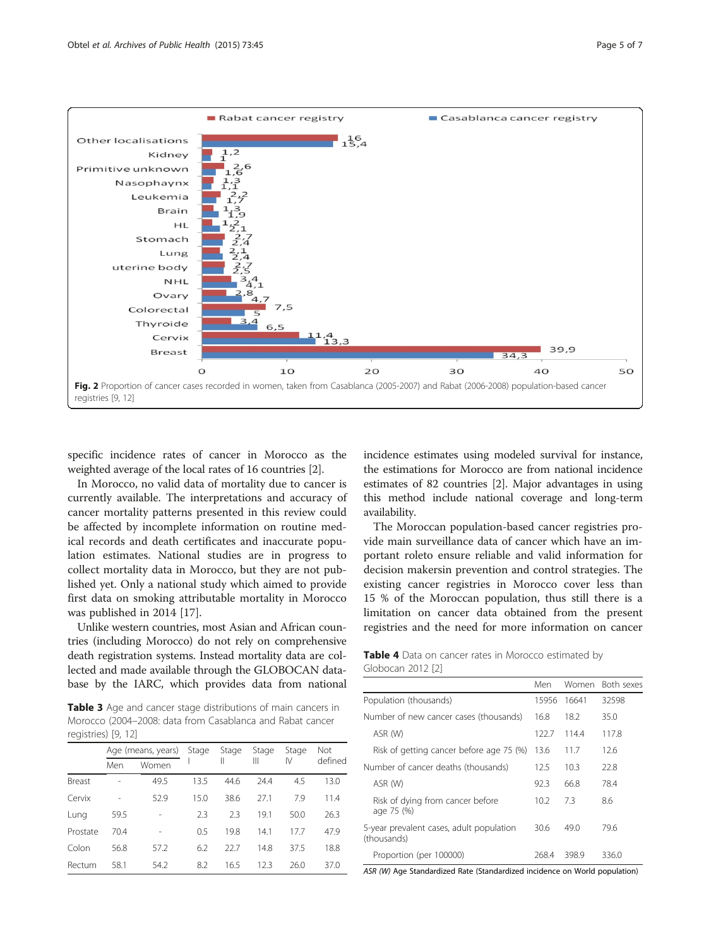<span id="page-4-0"></span>

specific incidence rates of cancer in Morocco as the weighted average of the local rates of 16 countries [[2](#page-6-0)].

In Morocco, no valid data of mortality due to cancer is currently available. The interpretations and accuracy of cancer mortality patterns presented in this review could be affected by incomplete information on routine medical records and death certificates and inaccurate population estimates. National studies are in progress to collect mortality data in Morocco, but they are not published yet. Only a national study which aimed to provide first data on smoking attributable mortality in Morocco was published in 2014 [[17\]](#page-6-0).

Unlike western countries, most Asian and African countries (including Morocco) do not rely on comprehensive death registration systems. Instead mortality data are collected and made available through the GLOBOCAN database by the IARC, which provides data from national

Table 3 Age and cancer stage distributions of main cancers in Morocco (2004–2008: data from Casablanca and Rabat cancer registries) [[9](#page-6-0), [12\]](#page-6-0)

|          |      | Age (means, years) | Stage | Stage | Stage | Stage | <b>Not</b> |  |
|----------|------|--------------------|-------|-------|-------|-------|------------|--|
|          | Men  | Women              |       | Ш     | Ш     | IV    | defined    |  |
| Breast   |      | 49.5               | 13.5  | 44.6  | 24.4  | 4.5   | 13.0       |  |
| Cervix   |      | 52.9               | 15.0  | 38.6  | 27.1  | 7.9   | 11.4       |  |
| Lung     | 59.5 |                    | 2.3   | 23    | 19.1  | 50.0  | 26.3       |  |
| Prostate | 70.4 |                    | 0.5   | 19.8  | 14.1  | 17.7  | 47.9       |  |
| Colon    | 56.8 | 57.2               | 6.2   | 22.7  | 14.8  | 37.5  | 18.8       |  |
| Rectum   | 58.1 | 54.2               | 8.2   | 16.5  | 12.3  | 26.0  | 37.0       |  |

incidence estimates using modeled survival for instance, the estimations for Morocco are from national incidence estimates of 82 countries [\[2](#page-6-0)]. Major advantages in using this method include national coverage and long-term availability.

The Moroccan population-based cancer registries provide main surveillance data of cancer which have an important roleto ensure reliable and valid information for decision makersin prevention and control strategies. The existing cancer registries in Morocco cover less than 15 % of the Moroccan population, thus still there is a limitation on cancer data obtained from the present registries and the need for more information on cancer

|                   |  |  | Table 4 Data on cancer rates in Morocco estimated by |  |
|-------------------|--|--|------------------------------------------------------|--|
| Globocan 2012 [2] |  |  |                                                      |  |

|                                                         | Men   | Women | Both sexes |
|---------------------------------------------------------|-------|-------|------------|
| Population (thousands)                                  | 15956 | 16641 | 32598      |
| Number of new cancer cases (thousands)                  | 16.8  | 18.2  | 35.0       |
| ASR (W)                                                 | 122.7 | 1144  | 117.8      |
| Risk of getting cancer before age 75 (%)                | 13.6  | 11.7  | 12.6       |
| Number of cancer deaths (thousands)                     | 12.5  | 10.3  | 22.8       |
| ASR (W)                                                 | 92.3  | 66.8  | 78.4       |
| Risk of dying from cancer before<br>age 75 (%)          | 10.2  | 7.3   | 8.6        |
| 5-year prevalent cases, adult population<br>(thousands) | 30.6  | 49.0  | 79.6       |
| Proportion (per 100000)                                 | 268.4 | 398.9 | 336.0      |

ASR (W) Age Standardized Rate (Standardized incidence on World population)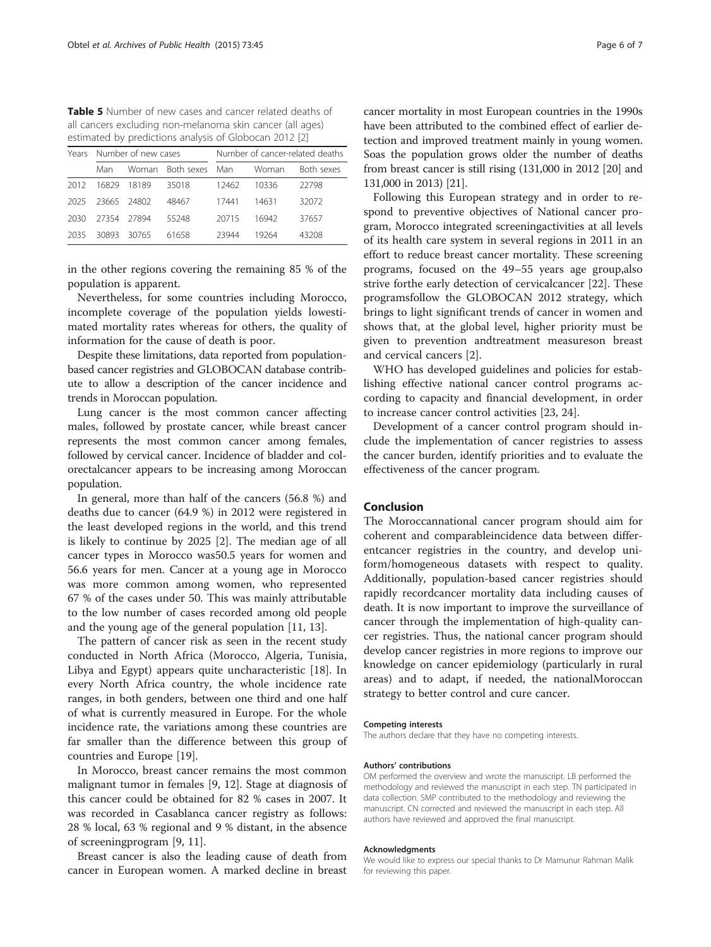<span id="page-5-0"></span>**Table 5** Number of new cases and cancer related deaths of all cancers excluding non-melanoma skin cancer (all ages) estimated by predictions analysis of Globocan 2012 [\[2](#page-6-0)]

| Years |             | Number of new cases |                  | Number of cancer-related deaths |       |            |  |
|-------|-------------|---------------------|------------------|---------------------------------|-------|------------|--|
|       | Man         |                     | Woman Both sexes | Man                             | Woman | Both sexes |  |
| 2012  | 16829       | 18189               | 35018            | 12462                           | 10336 | 22798      |  |
| 2025  | 23665 24802 |                     | 48467            | 17441                           | 14631 | 32072      |  |
| 2030  | 27354       | 27894               | 55248            | 20715                           | 16942 | 37657      |  |
| 2035  | 30893       | 30765               | 61658            | 23944                           | 19264 | 43208      |  |

in the other regions covering the remaining 85 % of the population is apparent.

Nevertheless, for some countries including Morocco, incomplete coverage of the population yields lowestimated mortality rates whereas for others, the quality of information for the cause of death is poor.

Despite these limitations, data reported from populationbased cancer registries and GLOBOCAN database contribute to allow a description of the cancer incidence and trends in Moroccan population.

Lung cancer is the most common cancer affecting males, followed by prostate cancer, while breast cancer represents the most common cancer among females, followed by cervical cancer. Incidence of bladder and colorectalcancer appears to be increasing among Moroccan population.

In general, more than half of the cancers (56.8 %) and deaths due to cancer (64.9 %) in 2012 were registered in the least developed regions in the world, and this trend is likely to continue by 2025 [[2\]](#page-6-0). The median age of all cancer types in Morocco was50.5 years for women and 56.6 years for men. Cancer at a young age in Morocco was more common among women, who represented 67 % of the cases under 50. This was mainly attributable to the low number of cases recorded among old people and the young age of the general population [\[11](#page-6-0), [13\]](#page-6-0).

The pattern of cancer risk as seen in the recent study conducted in North Africa (Morocco, Algeria, Tunisia, Libya and Egypt) appears quite uncharacteristic [[18\]](#page-6-0). In every North Africa country, the whole incidence rate ranges, in both genders, between one third and one half of what is currently measured in Europe. For the whole incidence rate, the variations among these countries are far smaller than the difference between this group of countries and Europe [[19\]](#page-6-0).

In Morocco, breast cancer remains the most common malignant tumor in females [[9](#page-6-0), [12\]](#page-6-0). Stage at diagnosis of this cancer could be obtained for 82 % cases in 2007. It was recorded in Casablanca cancer registry as follows: 28 % local, 63 % regional and 9 % distant, in the absence of screeningprogram [\[9](#page-6-0), [11](#page-6-0)].

Breast cancer is also the leading cause of death from cancer in European women. A marked decline in breast

cancer mortality in most European countries in the 1990s have been attributed to the combined effect of earlier detection and improved treatment mainly in young women. Soas the population grows older the number of deaths from breast cancer is still rising (131,000 in 2012 [\[20\]](#page-6-0) and 131,000 in 2013) [[21](#page-6-0)].

Following this European strategy and in order to respond to preventive objectives of National cancer program, Morocco integrated screeningactivities at all levels of its health care system in several regions in 2011 in an effort to reduce breast cancer mortality. These screening programs, focused on the 49–55 years age group,also strive forthe early detection of cervicalcancer [\[22\]](#page-6-0). These programsfollow the GLOBOCAN 2012 strategy, which brings to light significant trends of cancer in women and shows that, at the global level, higher priority must be given to prevention andtreatment measureson breast and cervical cancers [\[2](#page-6-0)].

WHO has developed guidelines and policies for establishing effective national cancer control programs according to capacity and financial development, in order to increase cancer control activities [[23, 24](#page-6-0)].

Development of a cancer control program should include the implementation of cancer registries to assess the cancer burden, identify priorities and to evaluate the effectiveness of the cancer program.

# Conclusion

The Moroccannational cancer program should aim for coherent and comparableincidence data between differentcancer registries in the country, and develop uniform/homogeneous datasets with respect to quality. Additionally, population-based cancer registries should rapidly recordcancer mortality data including causes of death. It is now important to improve the surveillance of cancer through the implementation of high-quality cancer registries. Thus, the national cancer program should develop cancer registries in more regions to improve our knowledge on cancer epidemiology (particularly in rural areas) and to adapt, if needed, the nationalMoroccan strategy to better control and cure cancer.

#### Competing interests

The authors declare that they have no competing interests.

#### Authors' contributions

OM performed the overview and wrote the manuscript. LB performed the methodology and reviewed the manuscript in each step. TN participated in data collection. SMP contributed to the methodology and reviewing the manuscript. CN corrected and reviewed the manuscript in each step. All authors have reviewed and approved the final manuscript.

#### Acknowledgments

We would like to express our special thanks to Dr Mamunur Rahman Malik for reviewing this paper.